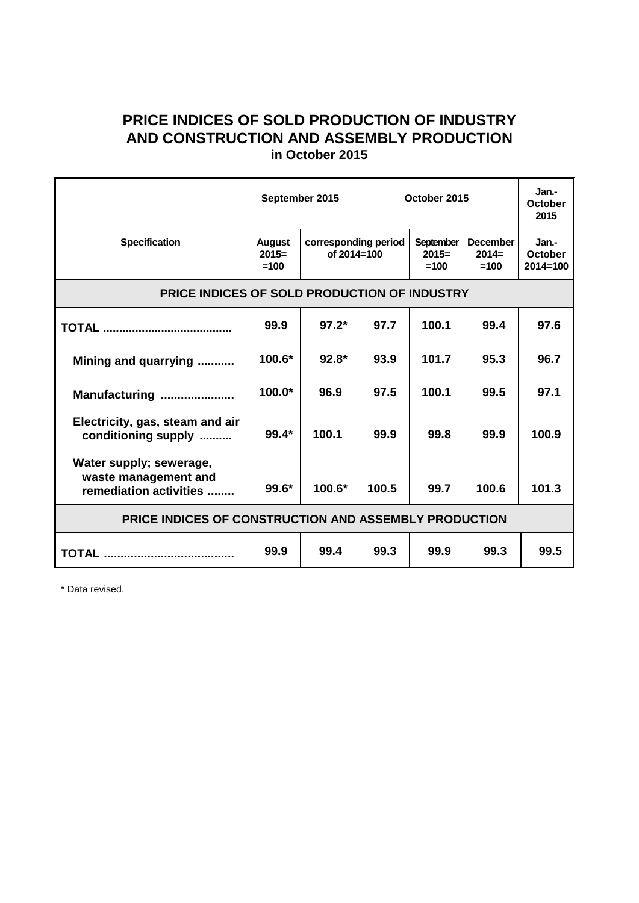## **PRICE INDICES OF SOLD PRODUCTION OF INDUSTRY AND CONSTRUCTION AND ASSEMBLY PRODUCTION in October 2015**

|                                                                           | September 2015                     |                                     | October 2015 |                                |                                      | Jan.-<br><b>October</b><br>2015  |
|---------------------------------------------------------------------------|------------------------------------|-------------------------------------|--------------|--------------------------------|--------------------------------------|----------------------------------|
| <b>Specification</b>                                                      | <b>August</b><br>$2015=$<br>$=100$ | corresponding period<br>of 2014=100 |              | September<br>$2015=$<br>$=100$ | <b>December</b><br>$2014=$<br>$=100$ | Jan.-<br>October<br>$2014 = 100$ |
| PRICE INDICES OF SOLD PRODUCTION OF INDUSTRY                              |                                    |                                     |              |                                |                                      |                                  |
|                                                                           | 99.9                               | $97.2*$                             | 97.7         | 100.1                          | 99.4                                 | 97.6                             |
| Mining and quarrying                                                      | 100.6*                             | $92.8*$                             | 93.9         | 101.7                          | 95.3                                 | 96.7                             |
| Manufacturing                                                             | $100.0*$                           | 96.9                                | 97.5         | 100.1                          | 99.5                                 | 97.1                             |
| Electricity, gas, steam and air<br>conditioning supply                    | $99.4*$                            | 100.1                               | 99.9         | 99.8                           | 99.9                                 | 100.9                            |
| Water supply; sewerage,<br>waste management and<br>remediation activities | 99.6*                              | $100.6*$                            | 100.5        | 99.7                           | 100.6                                | 101.3                            |
| PRICE INDICES OF CONSTRUCTION AND ASSEMBLY PRODUCTION                     |                                    |                                     |              |                                |                                      |                                  |
|                                                                           | 99.9                               | 99.4                                | 99.3         | 99.9                           | 99.3                                 | 99.5                             |

\* Data revised.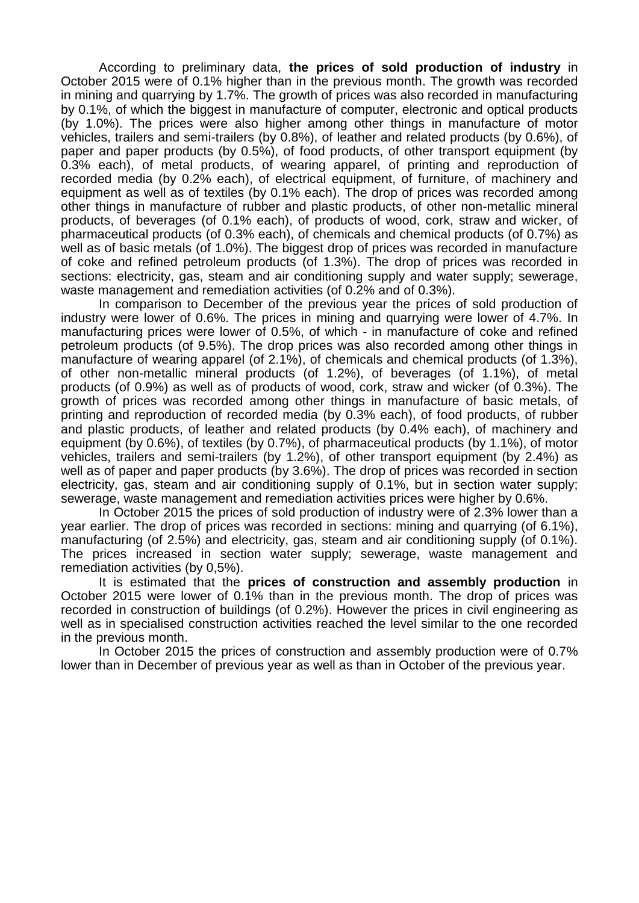According to preliminary data, **the prices of sold production of industry** in October 2015 were of 0.1% higher than in the previous month. The growth was recorded in mining and quarrying by 1.7%. The growth of prices was also recorded in manufacturing by 0.1%, of which the biggest in manufacture of computer, electronic and optical products (by 1.0%). The prices were also higher among other things in manufacture of motor vehicles, trailers and semi-trailers (by 0.8%), of leather and related products (by 0.6%), of paper and paper products (by 0.5%), of food products, of other transport equipment (by 0.3% each), of metal products, of wearing apparel, of printing and reproduction of recorded media (by 0.2% each), of electrical equipment, of furniture, of machinery and equipment as well as of textiles (by 0.1% each). The drop of prices was recorded among other things in manufacture of rubber and plastic products, of other non-metallic mineral products, of beverages (of 0.1% each), of products of wood, cork, straw and wicker, of pharmaceutical products (of 0.3% each), of chemicals and chemical products (of 0.7%) as well as of basic metals (of 1.0%). The biggest drop of prices was recorded in manufacture of coke and refined petroleum products (of 1.3%). The drop of prices was recorded in sections: electricity, gas, steam and air conditioning supply and water supply; sewerage, waste management and remediation activities (of 0.2% and of 0.3%).

In comparison to December of the previous year the prices of sold production of industry were lower of 0.6%. The prices in mining and quarrying were lower of 4.7%. In manufacturing prices were lower of 0.5%, of which - in manufacture of coke and refined petroleum products (of 9.5%). The drop prices was also recorded among other things in manufacture of wearing apparel (of 2.1%), of chemicals and chemical products (of 1.3%), of other non-metallic mineral products (of 1.2%), of beverages (of 1.1%), of metal products (of 0.9%) as well as of products of wood, cork, straw and wicker (of 0.3%). The growth of prices was recorded among other things in manufacture of basic metals, of printing and reproduction of recorded media (by 0.3% each), of food products, of rubber and plastic products, of leather and related products (by 0.4% each), of machinery and equipment (by 0.6%), of textiles (by 0.7%), of pharmaceutical products (by 1.1%), of motor vehicles, trailers and semi-trailers (by 1.2%), of other transport equipment (by 2.4%) as well as of paper and paper products (by 3.6%). The drop of prices was recorded in section electricity, gas, steam and air conditioning supply of 0.1%, but in section water supply; sewerage, waste management and remediation activities prices were higher by 0.6%.

In October 2015 the prices of sold production of industry were of 2.3% lower than a year earlier. The drop of prices was recorded in sections: mining and quarrying (of 6.1%), manufacturing (of 2.5%) and electricity, gas, steam and air conditioning supply (of 0.1%). The prices increased in section water supply; sewerage, waste management and remediation activities (by 0,5%).

It is estimated that the **prices of construction and assembly production** in October 2015 were lower of 0.1% than in the previous month. The drop of prices was recorded in construction of buildings (of 0.2%). However the prices in civil engineering as well as in specialised construction activities reached the level similar to the one recorded in the previous month.

In October 2015 the prices of construction and assembly production were of 0.7% lower than in December of previous year as well as than in October of the previous year.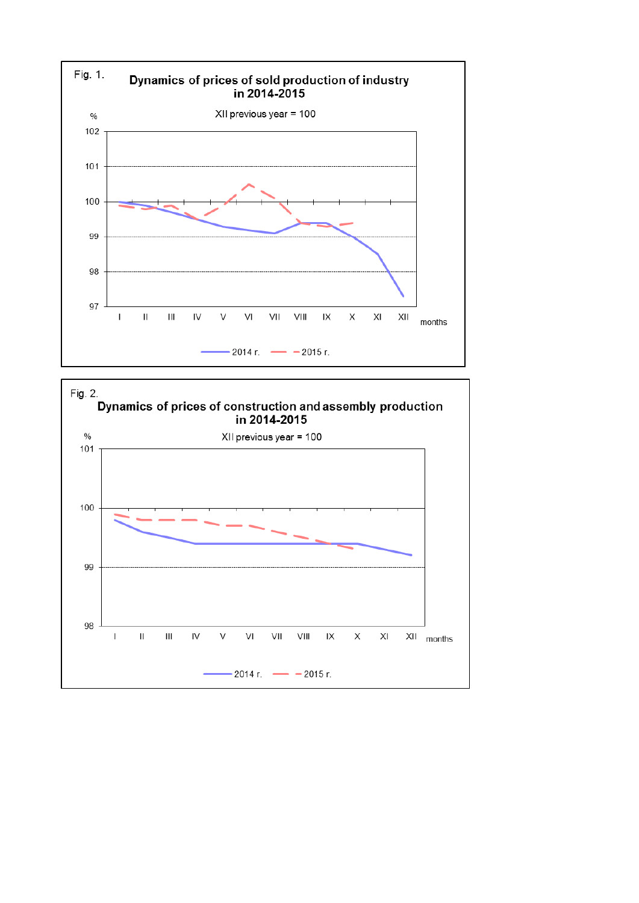